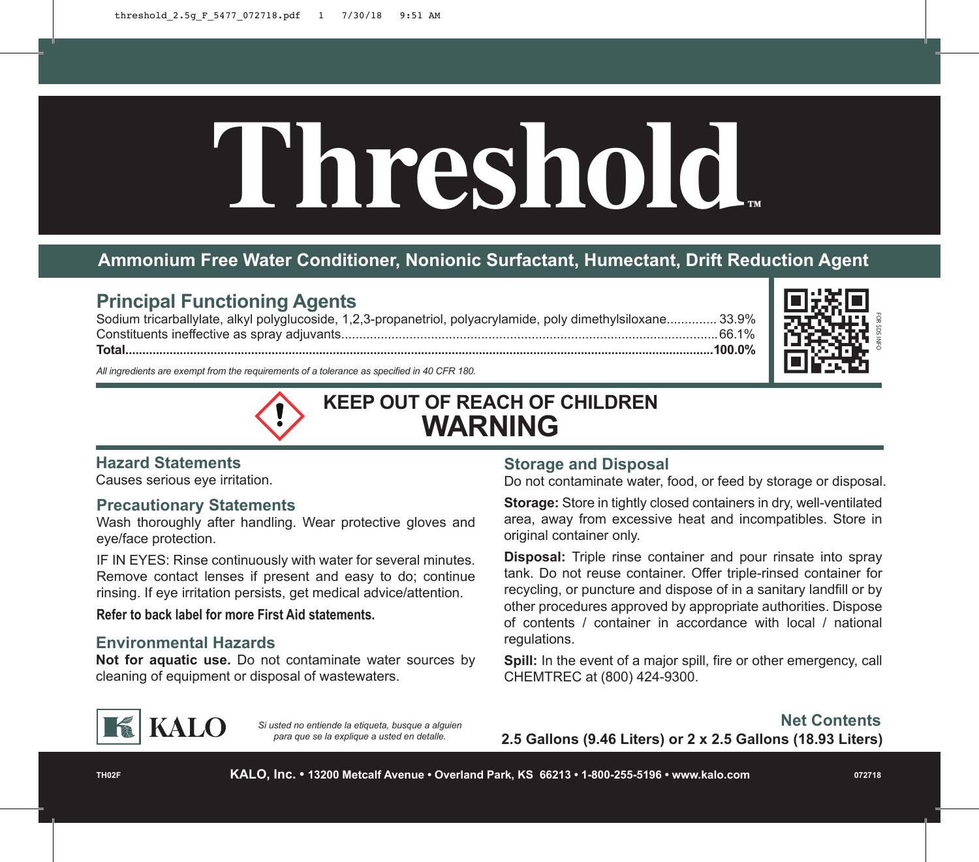# **Threshold™**

## **Ammonium Free Water Conditioner, Nonionic Surfactant, Humectant, Drift Reduction Agent**

### **Principal Functioning Agents**

Sodium tricarballylate, alkyl polyglucoside, 1,2,3-propanetriol, polyacrylamide, poly dimethylsiloxane.............. 33.9% Constituents ineffective as spray adjuvants.........................................................................................................66.1% **Total.............................................................................................................................................................................100.0%**



*All ingredients are exempt from the requirements of a tolerance as specified in 40 CFR 180.*

# **KEEP OUT OF REACH OF CHILDREN WARNING**

### **Hazard Statements**

Causes serious eye irritation.

### **Precautionary Statements**

Wash thoroughly after handling. Wear protective gloves and eye/face protection.

IF IN EYES: Rinse continuously with water for several minutes. Remove contact lenses if present and easy to do; continue rinsing. If eye irritation persists, get medical advice/attention.

### **Refer to back label for more First Aid statements.**

### **Environmental Hazards**

**Not for aquatic use.** Do not contaminate water sources by cleaning of equipment or disposal of wastewaters.

### **Storage and Disposal**

Do not contaminate water, food, or feed by storage or disposal.

**Storage:** Store in tightly closed containers in dry, well-ventilated area, away from excessive heat and incompatibles. Store in original container only.

**Disposal:** Triple rinse container and pour rinsate into spray tank. Do not reuse container. Offer triple-rinsed container for recycling, or puncture and dispose of in a sanitary landfill or by other procedures approved by appropriate authorities. Dispose of contents / container in accordance with local / national regulations.

**Spill:** In the event of a major spill, fire or other emergency, call CHEMTREC at (800) 424-9300.



*Si usted no entiende la etiqueta, busque a alguien para que se la explique a usted en detalle.*

**Net Contents 2.5 Gallons (9.46 Liters) or 2 x 2.5 Gallons (18.93 Liters)**